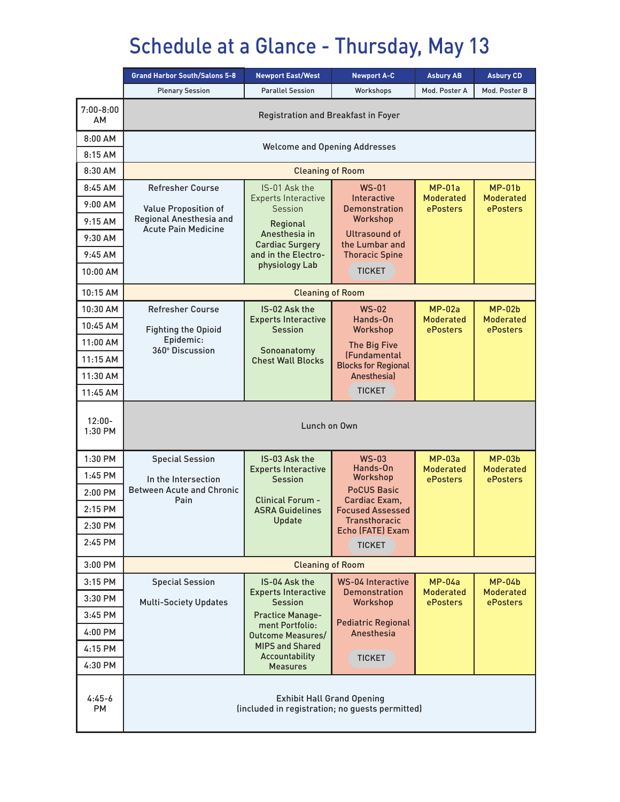## Schedule at a Glance - Thursday, May 13

|                            | <b>Grand Harbor South/Salons 5-8</b>                                                 | <b>Newport East/West</b>                     | <b>Newport A-C</b>                                | <b>Asbury AB</b>                    | <b>Asbury CD</b>             |  |  |  |
|----------------------------|--------------------------------------------------------------------------------------|----------------------------------------------|---------------------------------------------------|-------------------------------------|------------------------------|--|--|--|
|                            | <b>Plenary Session</b>                                                               | <b>Parallel Session</b>                      | Workshops                                         | Mod. Poster A                       | Mod. Poster B                |  |  |  |
| $7:00 - 8:00$<br><b>AM</b> | Registration and Breakfast in Foyer                                                  |                                              |                                                   |                                     |                              |  |  |  |
| $8:00$ AM                  | <b>Welcome and Opening Addresses</b>                                                 |                                              |                                                   |                                     |                              |  |  |  |
| 8:15AM                     |                                                                                      |                                              |                                                   |                                     |                              |  |  |  |
| 8:30 AM                    | <b>Cleaning of Room</b>                                                              |                                              |                                                   |                                     |                              |  |  |  |
| 8:45 AM                    | <b>Refresher Course</b>                                                              | IS-01 Ask the<br><b>Experts Interactive</b>  | <b>WS-01</b><br>Interactive                       | $MP-01a$<br><b>Moderated</b>        | $MP-01b$<br><b>Moderated</b> |  |  |  |
| 9:00 AM                    | Value Proposition of                                                                 | <b>Session</b>                               | <b>Demonstration</b>                              | ePosters                            | ePosters                     |  |  |  |
| 9:15AM                     | Regional Anesthesia and<br><b>Acute Pain Medicine</b>                                | Regional                                     | Workshop                                          |                                     |                              |  |  |  |
| 9:30 AM                    |                                                                                      | Anesthesia in<br><b>Cardiac Surgery</b>      | Ultrasound of<br>the Lumbar and                   |                                     |                              |  |  |  |
| $9:45$ AM                  |                                                                                      | and in the Electro-<br>physiology Lab        | <b>Thoracic Spine</b>                             |                                     |                              |  |  |  |
| 10:00 AM                   |                                                                                      |                                              | <b>TICKET</b>                                     |                                     |                              |  |  |  |
| 10:15 AM                   | <b>Cleaning of Room</b>                                                              |                                              |                                                   |                                     |                              |  |  |  |
| 10:30 AM                   | <b>Refresher Course</b>                                                              | IS-02 Ask the                                | $WS-02$                                           | $MP-02a$                            | $MP-02b$                     |  |  |  |
| 10:45 AM                   | <b>Fighting the Opioid</b>                                                           | <b>Experts Interactive</b><br><b>Session</b> | Hands-On<br>Workshop                              | <b>Moderated</b><br>ePosters        | <b>Moderated</b><br>ePosters |  |  |  |
| 11:00 AM                   | Epidemic:<br>360° Discussion                                                         |                                              | <b>The Big Five</b>                               |                                     |                              |  |  |  |
| 11:15 AM                   |                                                                                      | Sonoanatomy<br><b>Chest Wall Blocks</b>      | <b>(Fundamental</b><br><b>Blocks for Regional</b> |                                     |                              |  |  |  |
| 11:30 AM                   |                                                                                      |                                              | Anesthesial                                       |                                     |                              |  |  |  |
| 11:45 AM                   |                                                                                      |                                              | <b>TICKET</b>                                     |                                     |                              |  |  |  |
| $12:00 -$<br>1:30 PM       | Lunch on Own                                                                         |                                              |                                                   |                                     |                              |  |  |  |
| 1:30 PM                    | <b>Special Session</b>                                                               | IS-03 Ask the                                | $WS-03$<br>Hands-On                               | $MP-03a$                            | $MP-03b$                     |  |  |  |
| 1:45 PM                    | In the Intersection                                                                  | <b>Experts Interactive</b><br><b>Session</b> | Workshop                                          | <b>Moderated</b><br><b>ePosters</b> | <b>Moderated</b><br>ePosters |  |  |  |
| 2:00 PM                    | <b>Between Acute and Chronic</b><br>Pain                                             | <b>Clinical Forum -</b>                      | <b>PoCUS Basic</b><br>Cardiac Exam,               |                                     |                              |  |  |  |
| 2:15 PM                    |                                                                                      | <b>ASRA Guidelines</b>                       | <b>Focused Assessed</b>                           |                                     |                              |  |  |  |
| 2:30 PM                    |                                                                                      | Update                                       | Transthoracic<br>Echo (FATE) Exam                 |                                     |                              |  |  |  |
| 2:45 PM                    |                                                                                      |                                              | <b>TICKET</b>                                     |                                     |                              |  |  |  |
| 3:00 PM                    | <b>Cleaning of Room</b>                                                              |                                              |                                                   |                                     |                              |  |  |  |
| 3:15 PM                    | <b>Special Session</b>                                                               | IS-04 Ask the                                | <b>WS-04 Interactive</b>                          | $MP-04a$                            | $MP-04b$                     |  |  |  |
| $3:30$ PM                  | <b>Multi-Society Updates</b>                                                         | <b>Experts Interactive</b><br><b>Session</b> | <b>Demonstration</b><br>Workshop                  | <b>Moderated</b><br>ePosters        | <b>Moderated</b><br>ePosters |  |  |  |
| 3:45 PM                    |                                                                                      | <b>Practice Manage-</b>                      | <b>Pediatric Regional</b>                         |                                     |                              |  |  |  |
| $4:00$ PM                  |                                                                                      | ment Portfolio:<br><b>Outcome Measures/</b>  | Anesthesia                                        |                                     |                              |  |  |  |
| 4:15 PM                    |                                                                                      | <b>MIPS and Shared</b><br>Accountability     |                                                   |                                     |                              |  |  |  |
| 4:30 PM                    |                                                                                      | <b>Measures</b>                              | <b>TICKET</b>                                     |                                     |                              |  |  |  |
| $4:45-6$<br><b>PM</b>      | <b>Exhibit Hall Grand Opening</b><br>(included in registration; no guests permitted) |                                              |                                                   |                                     |                              |  |  |  |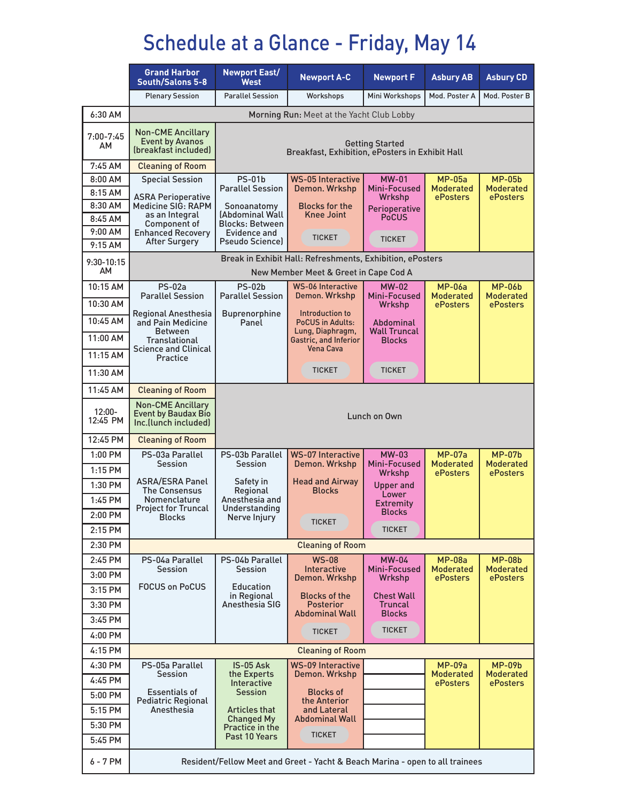## Schedule at a Glance - Friday, May 14

|                      | <b>Grand Harbor</b><br><b>South/Salons 5-8</b>                                 | <b>Newport East/</b><br><b>West</b>                                                                | <b>Newport A-C</b>                               | <b>Newport F</b>                 | <b>Asbury AB</b>             | <b>Asbury CD</b>             |  |
|----------------------|--------------------------------------------------------------------------------|----------------------------------------------------------------------------------------------------|--------------------------------------------------|----------------------------------|------------------------------|------------------------------|--|
|                      | <b>Plenary Session</b>                                                         | <b>Parallel Session</b>                                                                            | Workshops                                        | Mini Workshops                   | Mod. Poster A                | Mod. Poster B                |  |
| 6:30 AM              | Morning Run: Meet at the Yacht Club Lobby                                      |                                                                                                    |                                                  |                                  |                              |                              |  |
| $7:00 - 7:45$<br>AM  | <b>Non-CME Ancillary</b><br><b>Event by Avanos</b><br>(breakfast included)     | <b>Getting Started</b><br>Breakfast, Exhibition, ePosters in Exhibit Hall                          |                                                  |                                  |                              |                              |  |
| 7:45 AM              | <b>Cleaning of Room</b>                                                        | <b>WS-05 Interactive</b>                                                                           |                                                  |                                  |                              |                              |  |
| $8:00$ AM<br>8:15 AM | <b>Special Session</b>                                                         | $PS-01b$<br><b>Parallel Session</b>                                                                | Demon. Wrkshp                                    | <b>MW-01</b><br>Mini-Focused     | $MP-05a$<br><b>Moderated</b> | $MP-05b$<br><b>Moderated</b> |  |
| 8:30 AM              | ASRA Perioperative<br>Medicine SIG: RAPM                                       | Sonoanatomy                                                                                        | <b>Blocks for the</b>                            | Wrkshp                           | <b>ePosters</b>              | ePosters                     |  |
| 8:45 AM              | as an Integral                                                                 | (Abdominal Wall                                                                                    | <b>Knee Joint</b>                                | Perioperative<br><b>PoCUS</b>    |                              |                              |  |
| 9:00 AM              | Component of<br><b>Enhanced Recovery</b>                                       | <b>Blocks: Between</b><br>Evidence and                                                             | <b>TICKET</b>                                    |                                  |                              |                              |  |
| 9:15AM               | <b>After Surgery</b>                                                           | <b>Pseudo Sciencel</b>                                                                             |                                                  | <b>TICKET</b>                    |                              |                              |  |
| 9:30-10:15<br>AM     |                                                                                | Break in Exhibit Hall: Refreshments, Exhibition, ePosters<br>New Member Meet & Greet in Cape Cod A |                                                  |                                  |                              |                              |  |
| 10:15 AM             | <b>PS-02a</b>                                                                  | <b>PS-02b</b>                                                                                      | <b>WS-06 Interactive</b>                         | $MW-02$                          | <b>MP-06a</b>                | <b>MP-06b</b>                |  |
| 10:30 AM             | <b>Parallel Session</b>                                                        | <b>Parallel Session</b>                                                                            | Demon. Wrkshp                                    | Mini-Focused<br>Wrkshp           | <b>Moderated</b><br>ePosters | <b>Moderated</b><br>ePosters |  |
| 10:45 AM             | <b>Regional Anesthesia</b><br>and Pain Medicine                                | <b>Buprenorphine</b><br>Panel                                                                      | Introduction to<br><b>PoCUS in Adults:</b>       |                                  |                              |                              |  |
| 11:00 AM             | <b>Between</b>                                                                 |                                                                                                    | Lung, Diaphragm,                                 | Abdominal<br><b>Wall Truncal</b> |                              |                              |  |
|                      | Translational<br><b>Science and Clinical</b>                                   |                                                                                                    | <b>Gastric, and Inferior</b><br><b>Vena Cava</b> | <b>Blocks</b>                    |                              |                              |  |
| 11:15 AM             | <b>Practice</b>                                                                |                                                                                                    |                                                  |                                  |                              |                              |  |
| 11:30 AM             |                                                                                |                                                                                                    | <b>TICKET</b>                                    | <b>TICKET</b>                    |                              |                              |  |
| 11:45 AM             | <b>Cleaning of Room</b>                                                        |                                                                                                    |                                                  |                                  |                              |                              |  |
| 12:00-<br>12:45 PM   | <b>Non-CME Ancillary</b><br><b>Event by Baudax Bio</b><br>Inc.(lunch included) | Lunch on Own                                                                                       |                                                  |                                  |                              |                              |  |
| 12:45 PM             | <b>Cleaning of Room</b>                                                        |                                                                                                    |                                                  |                                  |                              |                              |  |
| 1:00 PM              | PS-03a Parallel                                                                | PS-03b Parallel<br><b>Session</b>                                                                  | <b>WS-07 Interactive</b>                         | <b>MW-03</b><br>Mini-Focused     | $MP-07a$<br><b>Moderated</b> | $MP-07b$<br><b>Moderated</b> |  |
| $1:15$ PM            | Session                                                                        |                                                                                                    | Demon. Wrkshp                                    | Wrkshp                           | ePosters                     | ePosters                     |  |
| 1:30 PM              | <b>ASRA/ESRA Panel</b><br>The Consensus                                        | Safety in<br>Regional                                                                              | <b>Head and Airway</b><br><b>Blocks</b>          | <b>Upper and</b>                 |                              |                              |  |
| 1:45 PM              | Nomenclature<br><b>Project for Truncal</b>                                     | Anesthesia and<br>Understanding                                                                    |                                                  | Lower<br><b>Extremity</b>        |                              |                              |  |
| 2:00 PM              | <b>Blocks</b>                                                                  | Nerve Injury                                                                                       | TICKET                                           | <b>Blocks</b>                    |                              |                              |  |
| 2:15 PM              |                                                                                |                                                                                                    |                                                  | <b>TICKET</b>                    |                              |                              |  |
| 2:30 PM              | <b>Cleaning of Room</b>                                                        |                                                                                                    |                                                  |                                  |                              |                              |  |
| 2:45 PM              | PS-04a Parallel<br><b>Session</b>                                              | PS-04b Parallel<br><b>Session</b>                                                                  | <b>WS-08</b><br><b>Interactive</b>               | <b>MW-04</b><br>Mini-Focused     | $MP-08a$<br><b>Moderated</b> | $MP-08b$<br><b>Moderated</b> |  |
| 3:00 PM              |                                                                                |                                                                                                    | Demon. Wrkshp                                    | Wrkshp                           | <b>ePosters</b>              | ePosters                     |  |
| $3:15$ PM            | <b>FOCUS on PoCUS</b>                                                          | <b>Education</b><br>in Regional                                                                    | <b>Blocks of the</b>                             | <b>Chest Wall</b>                |                              |                              |  |
| 3:30 PM              |                                                                                | Anesthesia SIG                                                                                     | <b>Posterior</b><br><b>Abdominal Wall</b>        | <b>Truncal</b><br><b>Blocks</b>  |                              |                              |  |
| 3:45 PM              |                                                                                |                                                                                                    | <b>TICKET</b>                                    | <b>TICKET</b>                    |                              |                              |  |
| 4:00 PM              |                                                                                |                                                                                                    |                                                  |                                  |                              |                              |  |
| 4:15 PM              | <b>Cleaning of Room</b>                                                        |                                                                                                    |                                                  |                                  |                              |                              |  |
| 4:30 PM              | PS-05a Parallel<br><b>Session</b>                                              | IS-05 Ask<br>the Experts                                                                           | <b>WS-09 Interactive</b><br>Demon. Wrkshp        |                                  | $MP-09a$<br><b>Moderated</b> | $MP-09b$<br><b>Moderated</b> |  |
| 4:45 PM              |                                                                                | Interactive                                                                                        |                                                  |                                  | ePosters                     | <b>ePosters</b>              |  |
| 5:00 PM              | <b>Essentials of</b><br><b>Pediatric Regional</b>                              | <b>Session</b>                                                                                     | <b>Blocks of</b><br>the Anterior                 |                                  |                              |                              |  |
| 5:15 PM              | Anesthesia                                                                     | <b>Articles that</b><br><b>Changed My</b>                                                          | and Lateral<br><b>Abdominal Wall</b>             |                                  |                              |                              |  |
| 5:30 PM              |                                                                                | Practice in the<br>Past 10 Years                                                                   | <b>TICKET</b>                                    |                                  |                              |                              |  |
| 5:45 PM              |                                                                                |                                                                                                    |                                                  |                                  |                              |                              |  |
| 6 - 7 PM             | Resident/Fellow Meet and Greet - Yacht & Beach Marina - open to all trainees   |                                                                                                    |                                                  |                                  |                              |                              |  |